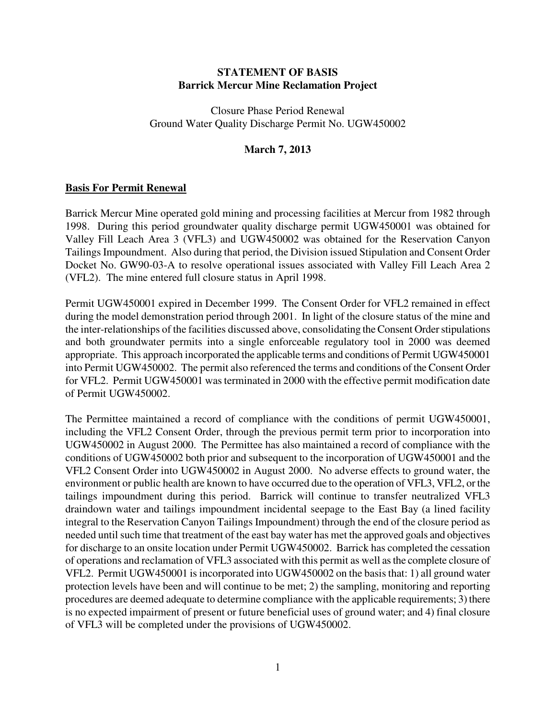## **STATEMENT OF BASIS Barrick Mercur Mine Reclamation Project**

Closure Phase Period Renewal Ground Water Quality Discharge Permit No. UGW450002

## **March 7, 2013**

### **Basis For Permit Renewal**

Barrick Mercur Mine operated gold mining and processing facilities at Mercur from 1982 through 1998. During this period groundwater quality discharge permit UGW450001 was obtained for Valley Fill Leach Area 3 (VFL3) and UGW450002 was obtained for the Reservation Canyon Tailings Impoundment. Also during that period, the Division issued Stipulation and Consent Order Docket No. GW90-03-A to resolve operational issues associated with Valley Fill Leach Area 2 (VFL2). The mine entered full closure status in April 1998.

Permit UGW450001 expired in December 1999. The Consent Order for VFL2 remained in effect during the model demonstration period through 2001. In light of the closure status of the mine and the inter-relationships of the facilities discussed above, consolidating the Consent Order stipulations and both groundwater permits into a single enforceable regulatory tool in 2000 was deemed appropriate. This approach incorporated the applicable terms and conditions of Permit UGW450001 into Permit UGW450002. The permit also referenced the terms and conditions of the Consent Order for VFL2. Permit UGW450001 was terminated in 2000 with the effective permit modification date of Permit UGW450002.

The Permittee maintained a record of compliance with the conditions of permit UGW450001, including the VFL2 Consent Order, through the previous permit term prior to incorporation into UGW450002 in August 2000. The Permittee has also maintained a record of compliance with the conditions of UGW450002 both prior and subsequent to the incorporation of UGW450001 and the VFL2 Consent Order into UGW450002 in August 2000. No adverse effects to ground water, the environment or public health are known to have occurred due to the operation of VFL3, VFL2, or the tailings impoundment during this period. Barrick will continue to transfer neutralized VFL3 draindown water and tailings impoundment incidental seepage to the East Bay (a lined facility integral to the Reservation Canyon Tailings Impoundment) through the end of the closure period as needed until such time that treatment of the east bay water has met the approved goals and objectives for discharge to an onsite location under Permit UGW450002. Barrick has completed the cessation of operations and reclamation of VFL3 associated with this permit as well as the complete closure of VFL2. Permit UGW450001 is incorporated into UGW450002 on the basis that: 1) all ground water protection levels have been and will continue to be met; 2) the sampling, monitoring and reporting procedures are deemed adequate to determine compliance with the applicable requirements; 3) there is no expected impairment of present or future beneficial uses of ground water; and 4) final closure of VFL3 will be completed under the provisions of UGW450002.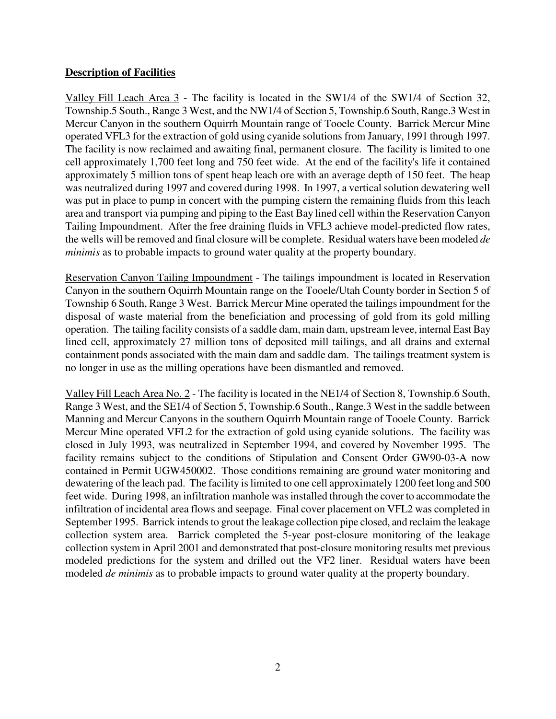## **Description of Facilities**

Valley Fill Leach Area 3 - The facility is located in the SW1/4 of the SW1/4 of Section 32, Township.5 South., Range 3 West, and the NW1/4 of Section 5, Township.6 South, Range.3 West in Mercur Canyon in the southern Oquirrh Mountain range of Tooele County. Barrick Mercur Mine operated VFL3 for the extraction of gold using cyanide solutions from January, 1991 through 1997. The facility is now reclaimed and awaiting final, permanent closure. The facility is limited to one cell approximately 1,700 feet long and 750 feet wide. At the end of the facility's life it contained approximately 5 million tons of spent heap leach ore with an average depth of 150 feet. The heap was neutralized during 1997 and covered during 1998. In 1997, a vertical solution dewatering well was put in place to pump in concert with the pumping cistern the remaining fluids from this leach area and transport via pumping and piping to the East Bay lined cell within the Reservation Canyon Tailing Impoundment. After the free draining fluids in VFL3 achieve model-predicted flow rates, the wells will be removed and final closure will be complete. Residual waters have been modeled *de minimis* as to probable impacts to ground water quality at the property boundary.

Reservation Canyon Tailing Impoundment - The tailings impoundment is located in Reservation Canyon in the southern Oquirrh Mountain range on the Tooele/Utah County border in Section 5 of Township 6 South, Range 3 West. Barrick Mercur Mine operated the tailings impoundment for the disposal of waste material from the beneficiation and processing of gold from its gold milling operation. The tailing facility consists of a saddle dam, main dam, upstream levee, internal East Bay lined cell, approximately 27 million tons of deposited mill tailings, and all drains and external containment ponds associated with the main dam and saddle dam. The tailings treatment system is no longer in use as the milling operations have been dismantled and removed.

Valley Fill Leach Area No. 2 - The facility is located in the NE1/4 of Section 8, Township.6 South, Range 3 West, and the SE1/4 of Section 5, Township.6 South., Range.3 West in the saddle between Manning and Mercur Canyons in the southern Oquirrh Mountain range of Tooele County. Barrick Mercur Mine operated VFL2 for the extraction of gold using cyanide solutions. The facility was closed in July 1993, was neutralized in September 1994, and covered by November 1995. The facility remains subject to the conditions of Stipulation and Consent Order GW90-03-A now contained in Permit UGW450002. Those conditions remaining are ground water monitoring and dewatering of the leach pad. The facility is limited to one cell approximately 1200 feet long and 500 feet wide. During 1998, an infiltration manhole was installed through the cover to accommodate the infiltration of incidental area flows and seepage. Final cover placement on VFL2 was completed in September 1995. Barrick intends to grout the leakage collection pipe closed, and reclaim the leakage collection system area. Barrick completed the 5-year post-closure monitoring of the leakage collection system in April 2001 and demonstrated that post-closure monitoring results met previous modeled predictions for the system and drilled out the VF2 liner. Residual waters have been modeled *de minimis* as to probable impacts to ground water quality at the property boundary.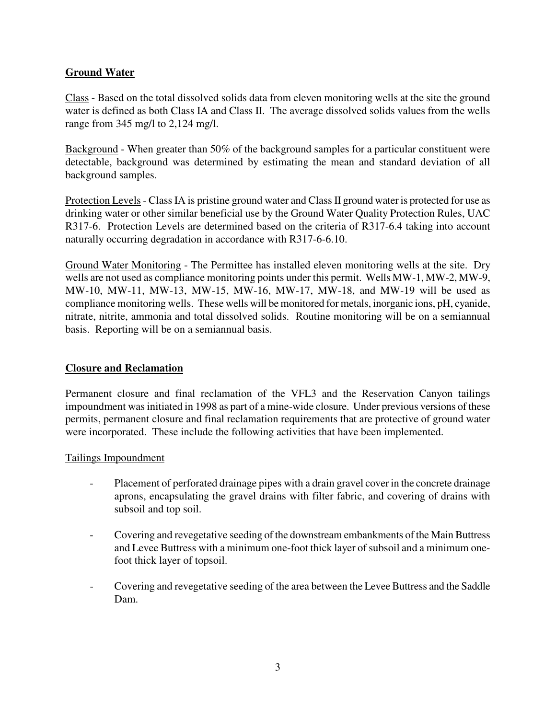# **Ground Water**

Class - Based on the total dissolved solids data from eleven monitoring wells at the site the ground water is defined as both Class IA and Class II. The average dissolved solids values from the wells range from 345 mg/l to 2,124 mg/l.

Background - When greater than 50% of the background samples for a particular constituent were detectable, background was determined by estimating the mean and standard deviation of all background samples.

Protection Levels - Class IA is pristine ground water and Class II ground water is protected for use as drinking water or other similar beneficial use by the Ground Water Quality Protection Rules, UAC R317-6. Protection Levels are determined based on the criteria of R317-6.4 taking into account naturally occurring degradation in accordance with R317-6-6.10.

Ground Water Monitoring - The Permittee has installed eleven monitoring wells at the site. Dry wells are not used as compliance monitoring points under this permit. Wells MW-1, MW-2, MW-9, MW-10, MW-11, MW-13, MW-15, MW-16, MW-17, MW-18, and MW-19 will be used as compliance monitoring wells. These wells will be monitored for metals, inorganic ions, pH, cyanide, nitrate, nitrite, ammonia and total dissolved solids. Routine monitoring will be on a semiannual basis. Reporting will be on a semiannual basis.

## **Closure and Reclamation**

Permanent closure and final reclamation of the VFL3 and the Reservation Canyon tailings impoundment was initiated in 1998 as part of a mine-wide closure. Under previous versions of these permits, permanent closure and final reclamation requirements that are protective of ground water were incorporated. These include the following activities that have been implemented.

### Tailings Impoundment

- Placement of perforated drainage pipes with a drain gravel cover in the concrete drainage aprons, encapsulating the gravel drains with filter fabric, and covering of drains with subsoil and top soil.
- Covering and revegetative seeding of the downstream embankments of the Main Buttress and Levee Buttress with a minimum one-foot thick layer of subsoil and a minimum onefoot thick layer of topsoil.
- Covering and revegetative seeding of the area between the Levee Buttress and the Saddle Dam.